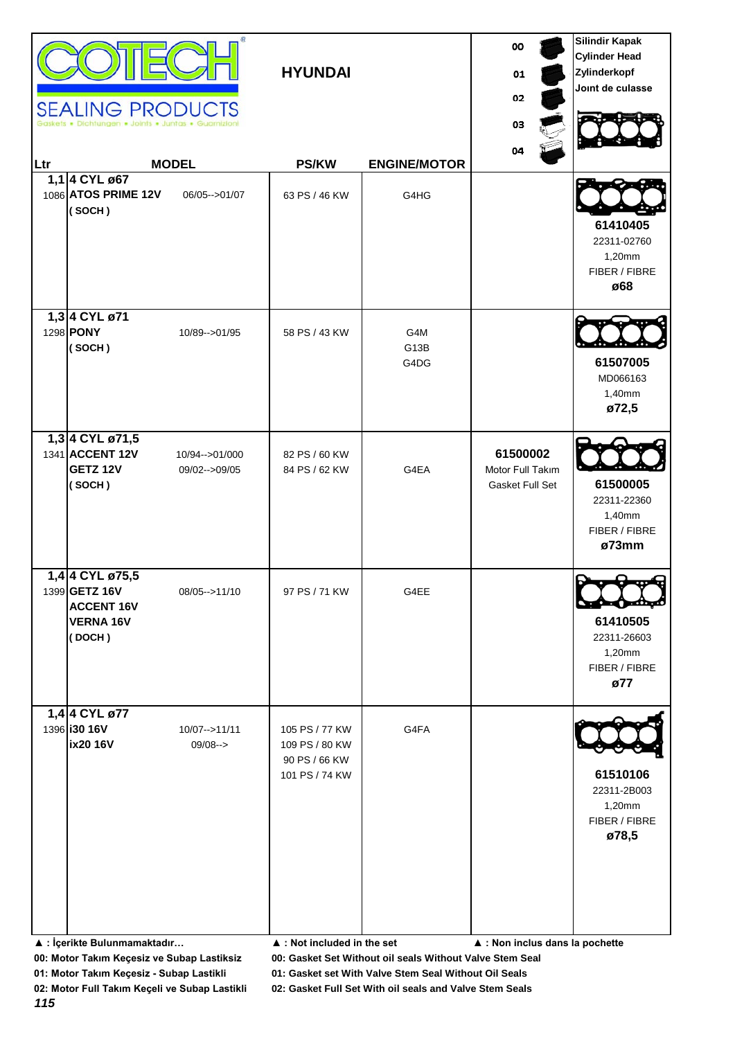| Ltr | <b>SEALING PRODUCTS</b><br>Dichtungen . Joints . Juntas . Guarnizio                 | œ.<br><b>MODEL</b>                 | <b>HYUNDAI</b><br><b>PS/KW</b>                                                                                    | <b>ENGINE/MOTOR</b> | 00<br>01<br>02<br>03<br>04                      | <b>Silindir Kapak</b><br><b>Cylinder Head</b><br>Zylinderkopf<br>Joint de culasse |
|-----|-------------------------------------------------------------------------------------|------------------------------------|-------------------------------------------------------------------------------------------------------------------|---------------------|-------------------------------------------------|-----------------------------------------------------------------------------------|
|     | 1,1 4 CYL ø67<br>1086 ATOS PRIME 12V<br>(SOCH)                                      | 06/05 -- > 01/07                   | 63 PS / 46 KW                                                                                                     | G4HG                |                                                 | 61410405<br>22311-02760<br>1,20mm<br>FIBER / FIBRE<br>ø68                         |
|     | 1,3 4 CYL ø71<br>1298 <b>PONY</b><br>(SOCH)                                         | 10/89 -- > 01/95                   | 58 PS / 43 KW                                                                                                     | G4M<br>G13B<br>G4DG |                                                 | 61507005<br>MD066163<br>1,40mm<br>ø72,5                                           |
|     | 1,3 4 CYL ø71,5<br>1341 ACCENT 12V<br><b>GETZ 12V</b><br>(SOCH)                     | 10/94 -- > 01/000<br>09/02-->09/05 | 82 PS / 60 KW<br>84 PS / 62 KW                                                                                    | G4EA                | 61500002<br>Motor Full Takım<br>Gasket Full Set | 61500005<br>22311-22360<br>1,40mm<br>FIBER / FIBRE<br>ø73mm                       |
|     | 1,4 4 CYL ø75,5<br>1399 GETZ 16V<br><b>ACCENT 16V</b><br><b>VERNA 16V</b><br>(DOCH) | 08/05 -- > 11/10                   | 97 PS / 71 KW                                                                                                     | G4EE                |                                                 | D<br>0न्फरी<br>61410505<br>22311-26603<br>1,20mm<br>FIBER / FIBRE<br>ø77          |
|     | 1,4 4 CYL ø77<br>1396 <b>130 16V</b><br>ix20 16V<br>▲ : İçerikte Bulunmamaktadır    | 10/07-->11/11<br>$09/08--$         | 105 PS / 77 KW<br>109 PS / 80 KW<br>90 PS / 66 KW<br>101 PS / 74 KW<br>$\blacktriangle$ : Not included in the set | G4FA                | $\blacktriangle$ : Non inclus dans la pochette  | 61510106<br>22311-2B003<br>1,20mm<br>FIBER / FIBRE<br>ø78,5                       |

**01: Motor Takım Keçesiz - Subap Lastikli 01: Gasket set With Valve Stem Seal Without Oil Seals**

*115*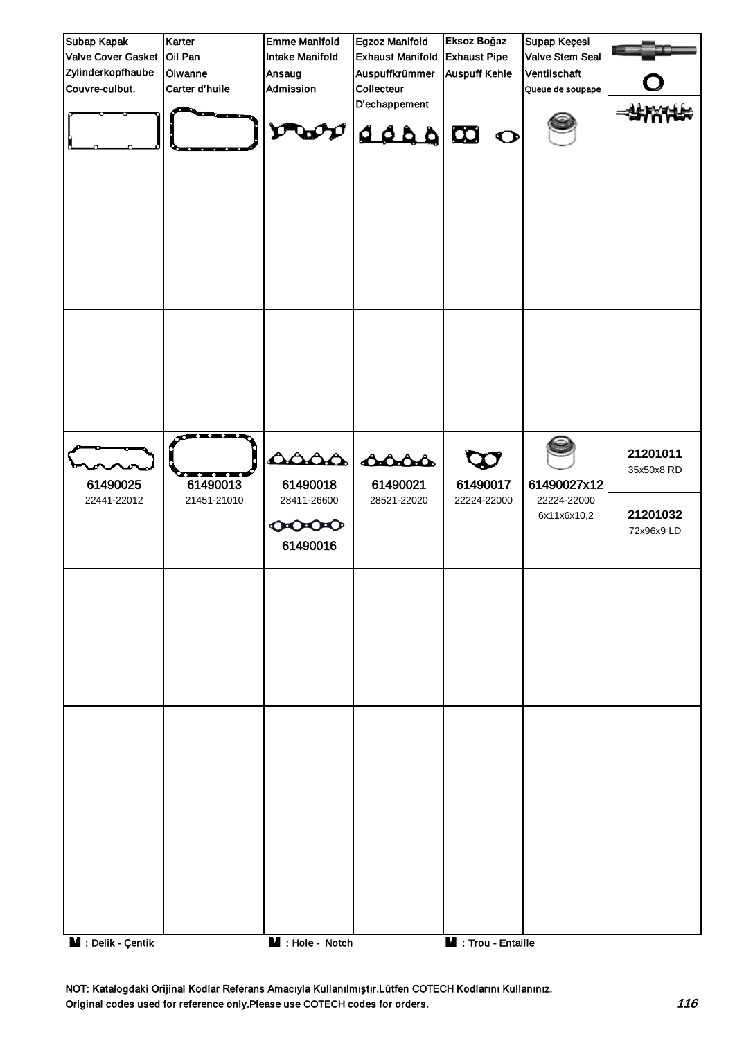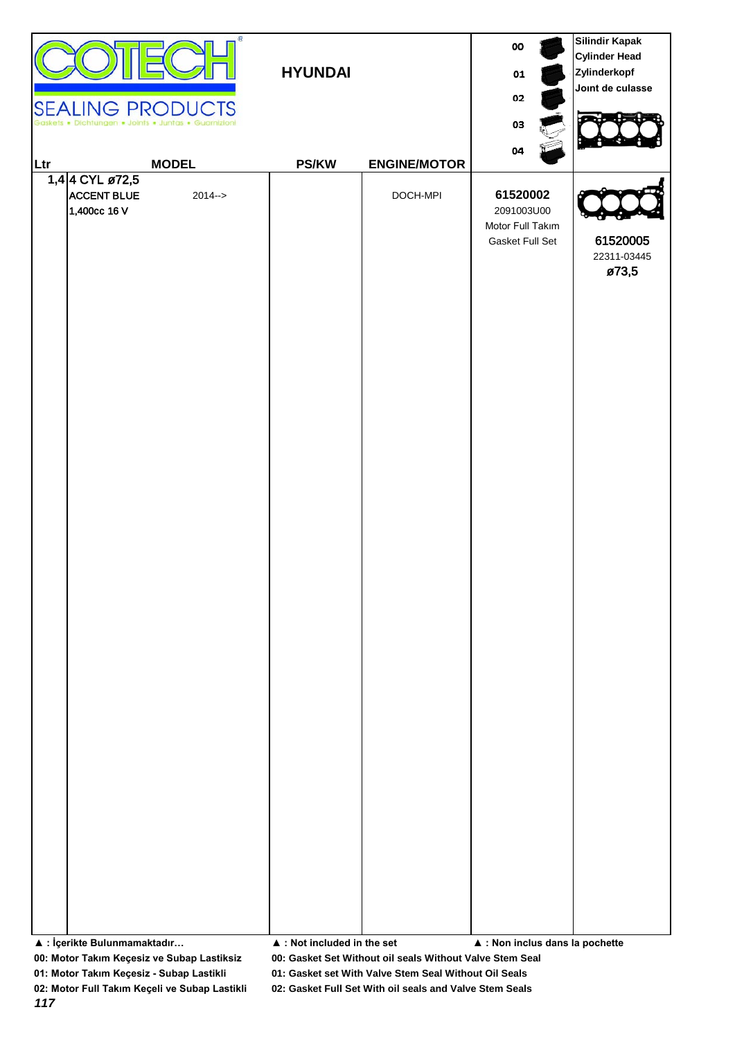| œ<br><b>SEALING PRODUCTS</b><br>Dichtungen . Joints . Juntas . Guarnizioni | <b>HYUNDAI</b>                             |                     | 00<br>01<br>02<br>03                                                | <b>Silindir Kapak</b><br><b>Cylinder Head</b><br>Zylinderkopf<br>Joint de culasse |
|----------------------------------------------------------------------------|--------------------------------------------|---------------------|---------------------------------------------------------------------|-----------------------------------------------------------------------------------|
| <b>MODEL</b><br>Ltr                                                        | <b>PS/KW</b>                               | <b>ENGINE/MOTOR</b> |                                                                     |                                                                                   |
| 1,4 4 CYL ø72,5<br><b>ACCENT BLUE</b><br>$2014 - >$<br>1,400cc 16 V        |                                            | DOCH-MPI            | 04<br>61520002<br>2091003U00<br>Motor Full Takım<br>Gasket Full Set | 61520005<br>22311-03445<br>ø73,5                                                  |
| ▲ : İçerikte Bulunmamaktadır                                               | $\blacktriangle$ : Not included in the set |                     | $\blacktriangle$ : Non inclus dans la pochette                      |                                                                                   |

**01: Motor Takım Keçesiz - Subap Lastikli 01: Gasket set With Valve Stem Seal Without Oil Seals**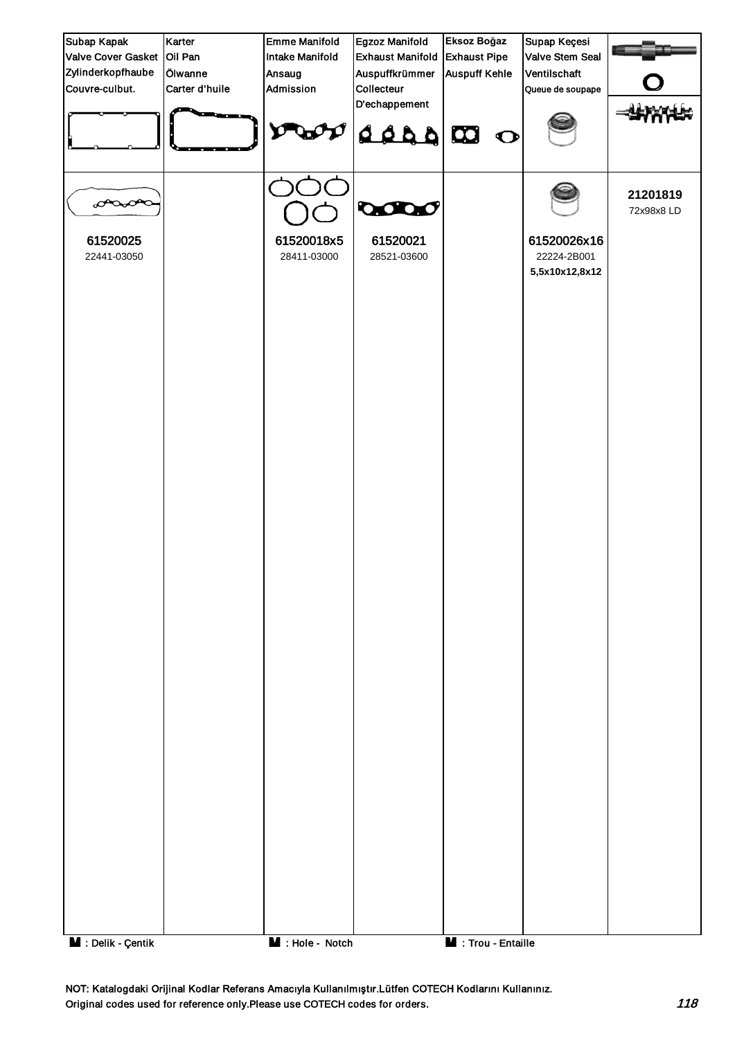

NOT: Katalogdaki Orijinal Kodlar Referans Amacıyla Kullanılmıştır.Lütfen COTECH Kodlarını Kullanınız. Original codes used for reference only.Please use COTECH codes for orders. The context of the codes for orders.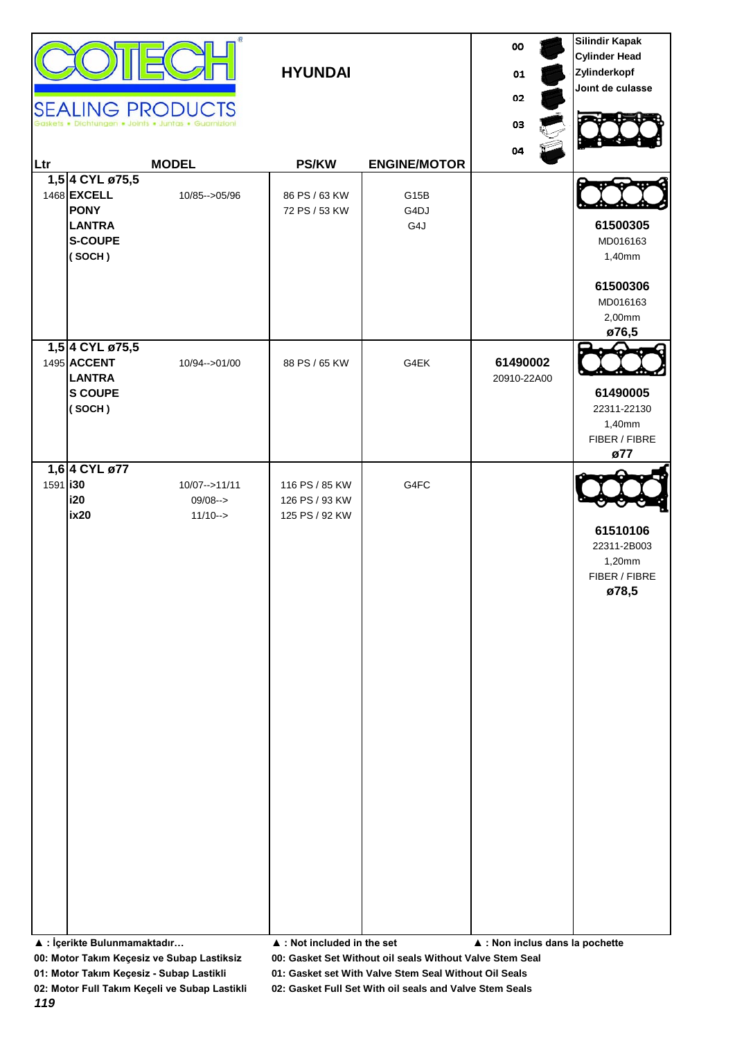| Ltr             | 1,5 4 CYL ø75,5<br>1468 EXCELL<br><b>PONY</b><br><b>LANTRA</b><br><b>S-COUPE</b><br>(SOCH) | <b>SEALING PRODUCTS</b><br>Dichtungen . Joints . Juntas . Guarnizion<br><b>MODEL</b><br>10/85 -- > 05/96 | <b>HYUNDAI</b><br><b>PS/KW</b><br>86 PS / 63 KW<br>72 PS / 53 KW                  | <b>ENGINE/MOTOR</b><br>G15B<br>G4DJ<br>G4J | 00<br>01<br>02<br>03<br>04      | <b>Silindir Kapak</b><br><b>Cylinder Head</b><br>Zylinderkopf<br>Joint de culasse<br>61500305<br>MD016163<br>1,40mm<br>61500306<br>MD016163<br>2,00mm<br>ø76,5 |
|-----------------|--------------------------------------------------------------------------------------------|----------------------------------------------------------------------------------------------------------|-----------------------------------------------------------------------------------|--------------------------------------------|---------------------------------|----------------------------------------------------------------------------------------------------------------------------------------------------------------|
|                 | 1,5 4 CYL ø75,5<br>1495 ACCENT<br><b>LANTRA</b><br><b>S COUPE</b><br>(SOCH)                | 10/94-->01/00                                                                                            | 88 PS / 65 KW                                                                     | G4EK                                       | 61490002<br>20910-22A00         | 61490005<br>22311-22130<br>1,40mm<br>FIBER / FIBRE<br>ø77                                                                                                      |
| 1591 <b>130</b> | 1,6 4 CYL ø77<br>i20<br><b>ix20</b><br>▲ : İçerikte Bulunmamaktadır                        | 10/07 -- > 11/11<br>$09/08 ->$<br>$11/10->$                                                              | 116 PS / 85 KW<br>126 PS / 93 KW<br>125 PS / 92 KW<br>▲ : Not included in the set | G4FC                                       | ▲ : Non inclus dans la pochette | 61510106<br>22311-2B003<br>1,20mm<br>FIBER / FIBRE<br>ø78,5                                                                                                    |

**01: Motor Takım Keçesiz - Subap Lastikli 01: Gasket set With Valve Stem Seal Without Oil Seals**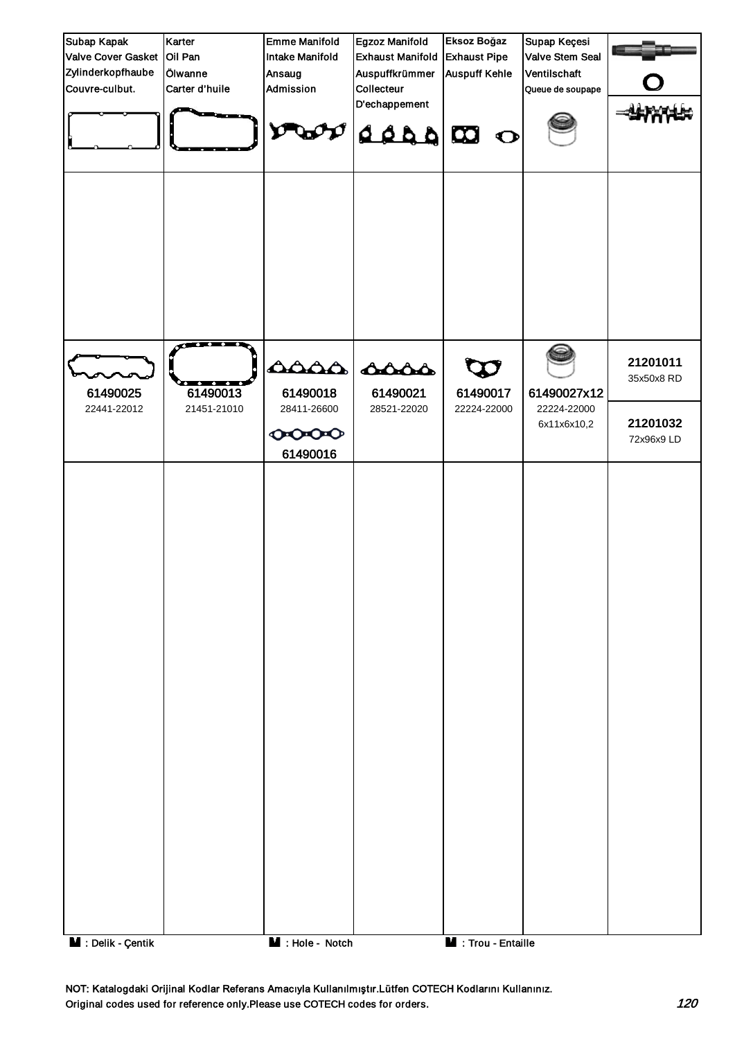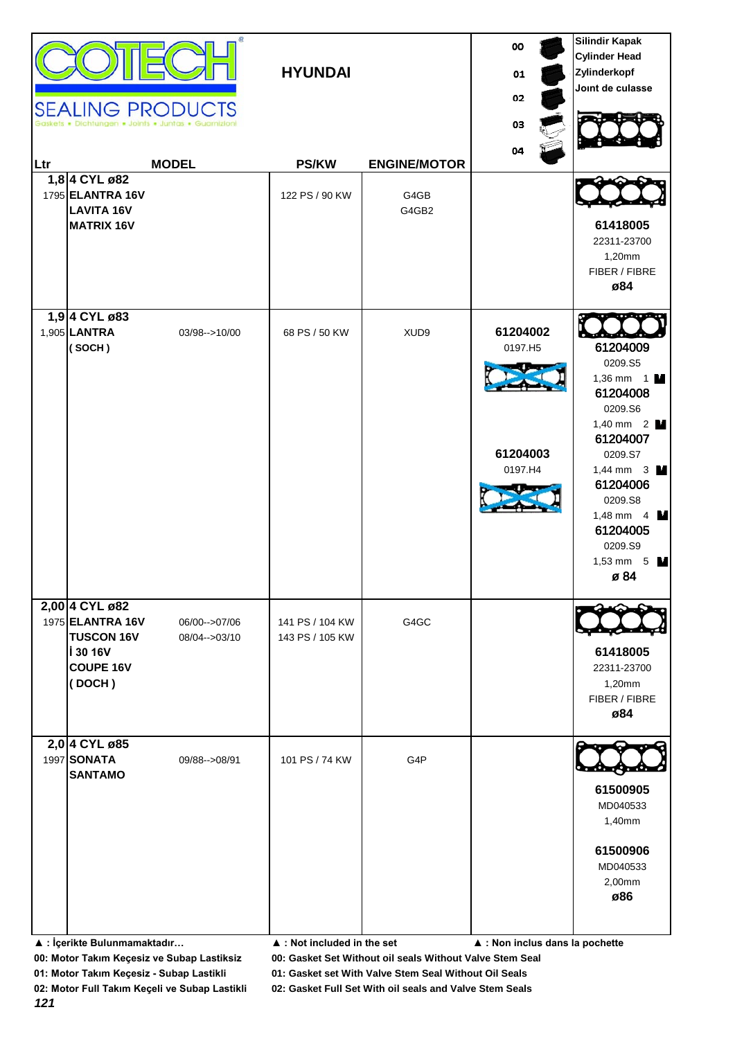| Ltr | 1,8 4 CYL ø82<br>1795 ELANTRA 16V<br><b>LAVITA 16V</b><br><b>MATRIX 16V</b>                       | <b>SEALING PRODUCTS</b><br><b>MODEL</b> | <b>HYUNDAI</b><br><b>PS/KW</b><br>122 PS / 90 KW | <b>ENGINE/MOTOR</b><br>G4GB<br>G4GB2 | 00<br>01<br>02<br>03<br>04                 | <b>Silindir Kapak</b><br><b>Cylinder Head</b><br>Zylinderkopf<br>Joint de culasse<br>61418005<br>22311-23700<br>1,20mm<br>FIBER / FIBRE<br>ø84                                                                                                 |
|-----|---------------------------------------------------------------------------------------------------|-----------------------------------------|--------------------------------------------------|--------------------------------------|--------------------------------------------|------------------------------------------------------------------------------------------------------------------------------------------------------------------------------------------------------------------------------------------------|
|     | 1,9 4 CYL ø83<br>1,905 LANTRA<br>(SOCH)                                                           | 03/98 -- > 10/00                        | 68 PS / 50 KW                                    | XUD9                                 | 61204002<br>0197.H5<br>61204003<br>0197.H4 | 61204009<br>0209.S5<br>1,36 mm $1$ M<br>61204008<br>0209.S6<br>1,40 mm $2$ $\blacksquare$<br>61204007<br>0209.S7<br>1,44 mm $3$ $\blacksquare$<br>61204006<br>0209.S8<br>1,48 mm $4 \text{ M}$<br>61204005<br>0209.S9<br>1,53 mm $5$ M<br>ø 84 |
|     | 2,00 4 CYL ø82<br>1975 ELANTRA 16V<br><b>TUSCON 16V</b><br>i 30 16V<br><b>COUPE 16V</b><br>(DOCH) | 06/00 -- > 07/06<br>08/04-->03/10       | 141 PS / 104 KW<br>143 PS / 105 KW               | G4GC                                 |                                            | 61418005<br>22311-23700<br>1,20mm<br>FIBER / FIBRE<br>ø84                                                                                                                                                                                      |
|     | 2,0 4 CYL ø85<br>1997 SONATA<br><b>SANTAMO</b>                                                    | 09/88 -- > 08/91                        | 101 PS / 74 KW                                   | G4P                                  |                                            | 61500905<br>MD040533<br>1,40mm<br>61500906<br>MD040533<br>2,00mm<br>ø86                                                                                                                                                                        |

**01: Motor Takım Keçesiz - Subap Lastikli 01: Gasket set With Valve Stem Seal Without Oil Seals**

**<sup>▲ :</sup> İçerikte Bulunmamaktadır… ▲ : Not included in the set ▲ : Non inclus dans la pochette**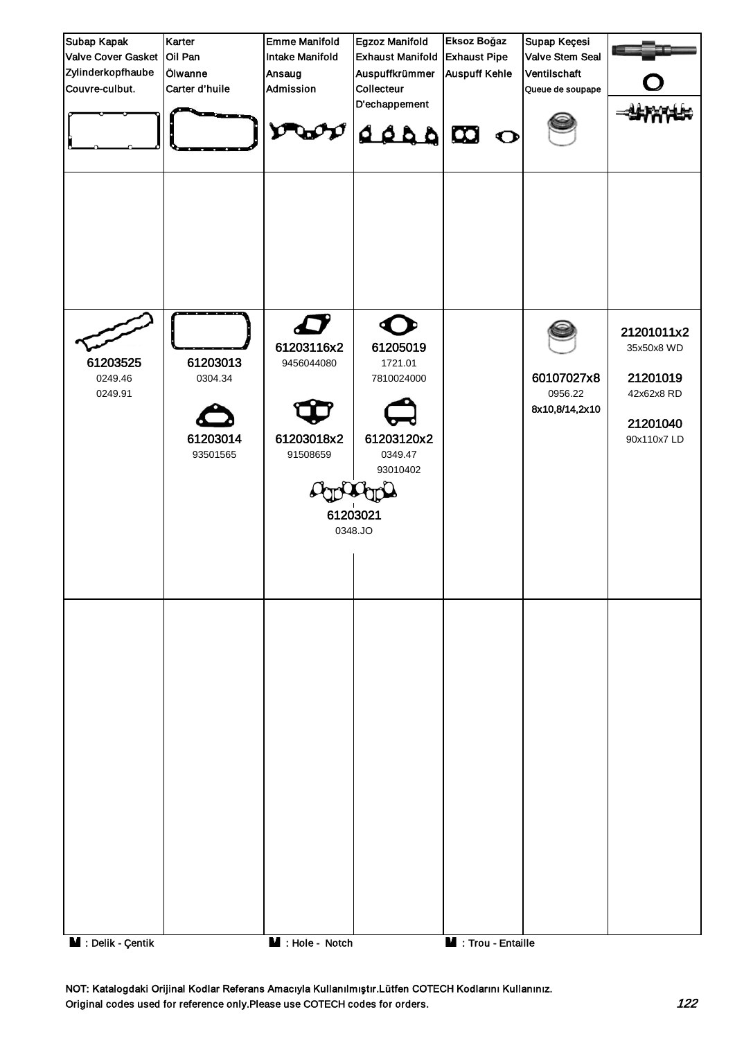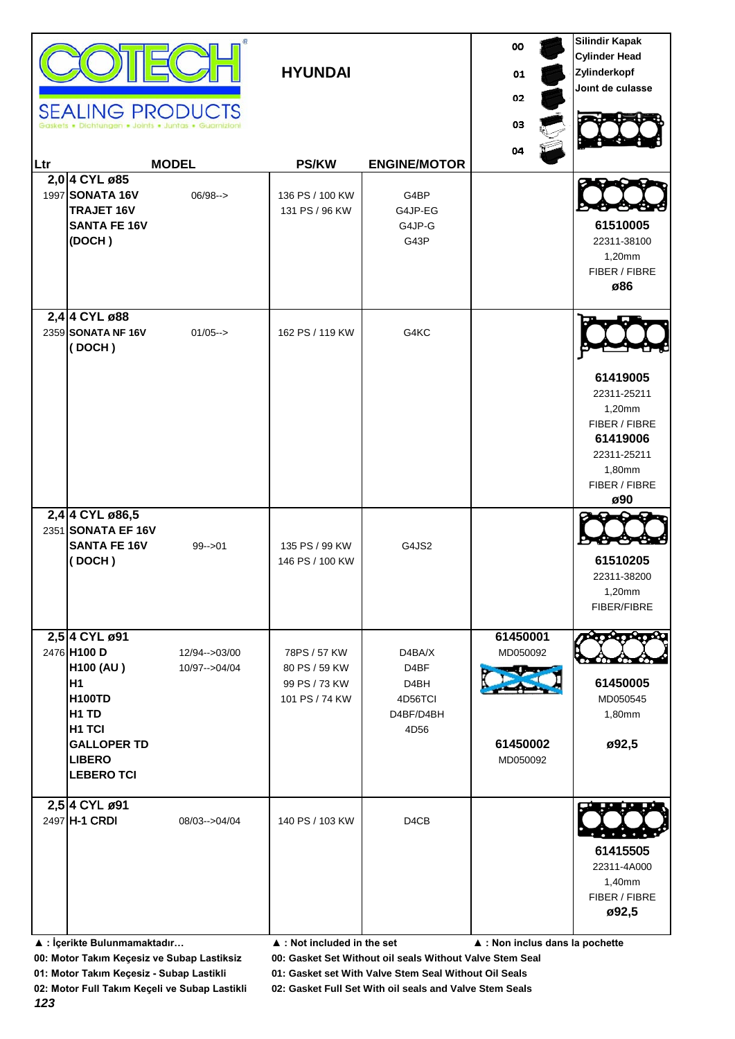|     | <b>SEALING PRODUCTS</b>                                                                                                                                                        |                                | <b>HYUNDAI</b>                                                   |                                                                                  | 00<br>01<br>02<br>03                         | <b>Silindir Kapak</b><br><b>Cylinder Head</b><br>Zylinderkopf<br>Joint de culasse                               |
|-----|--------------------------------------------------------------------------------------------------------------------------------------------------------------------------------|--------------------------------|------------------------------------------------------------------|----------------------------------------------------------------------------------|----------------------------------------------|-----------------------------------------------------------------------------------------------------------------|
| Ltr |                                                                                                                                                                                | <b>MODEL</b>                   | <b>PS/KW</b>                                                     | <b>ENGINE/MOTOR</b>                                                              | 04                                           |                                                                                                                 |
|     | 2,0 4 CYL ø85<br>1997 SONATA 16V<br><b>TRAJET 16V</b><br><b>SANTA FE 16V</b><br>(DOCH)                                                                                         | $06/98-->$                     | 136 PS / 100 KW<br>131 PS / 96 KW                                | G4BP<br>G4JP-EG<br>G4JP-G<br>G43P                                                |                                              | 61510005<br>22311-38100<br>1,20mm<br>FIBER / FIBRE<br>ø86                                                       |
|     | 2,4 4 CYL ø88<br>2359 SONATA NF 16V<br>(DOCH)                                                                                                                                  | $01/05--$                      | 162 PS / 119 KW                                                  | G4KC                                                                             |                                              | 61419005<br>22311-25211<br>1,20mm<br>FIBER / FIBRE<br>61419006<br>22311-25211<br>1,80mm<br>FIBER / FIBRE<br>ø90 |
|     | 2,4 4 CYL ø86,5<br>2351 SONATA EF 16V<br><b>SANTA FE 16V</b><br>(DOCH)                                                                                                         | $99 - 01$                      | 135 PS / 99 KW<br>146 PS / 100 KW                                | G4JS2                                                                            |                                              | 61510205<br>22311-38200<br>1,20mm<br>FIBER/FIBRE                                                                |
|     | 2,5 4 CYL ø91<br>2476 H100 D<br><b>H100 (AU)</b><br>H1<br><b>H100TD</b><br>H <sub>1</sub> TD<br>H <sub>1</sub> TCI<br><b>GALLOPER TD</b><br><b>LIBERO</b><br><b>LEBERO TCI</b> | 12/94-->03/00<br>10/97-->04/04 | 78PS / 57 KW<br>80 PS / 59 KW<br>99 PS / 73 KW<br>101 PS / 74 KW | D4BA/X<br>D <sub>4</sub> BF<br>D <sub>4</sub> BH<br>4D56TCI<br>D4BF/D4BH<br>4D56 | 61450001<br>MD050092<br>61450002<br>MD050092 | ಿದಳಿದ್<br>61450005<br>MD050545<br>1,80mm<br>ø92,5                                                               |
|     | 2,5 4 CYL ø91<br>2497 H-1 CRDI                                                                                                                                                 | 08/03-->04/04                  | 140 PS / 103 KW                                                  | D <sub>4</sub> C <sub>B</sub>                                                    |                                              | 61415505<br>22311-4A000<br>1,40mm<br>FIBER / FIBRE<br>ø92,5                                                     |

**▲ : İçerikte Bulunmamaktadır… ▲ : Not included in the set ▲ : Non inclus dans la pochette**

**00: Motor Takım Keçesiz ve Subap Lastiksiz 00: Gasket Set Without oil seals Without Valve Stem Seal**

**01: Motor Takım Keçesiz - Subap Lastikli 01: Gasket set With Valve Stem Seal Without Oil Seals**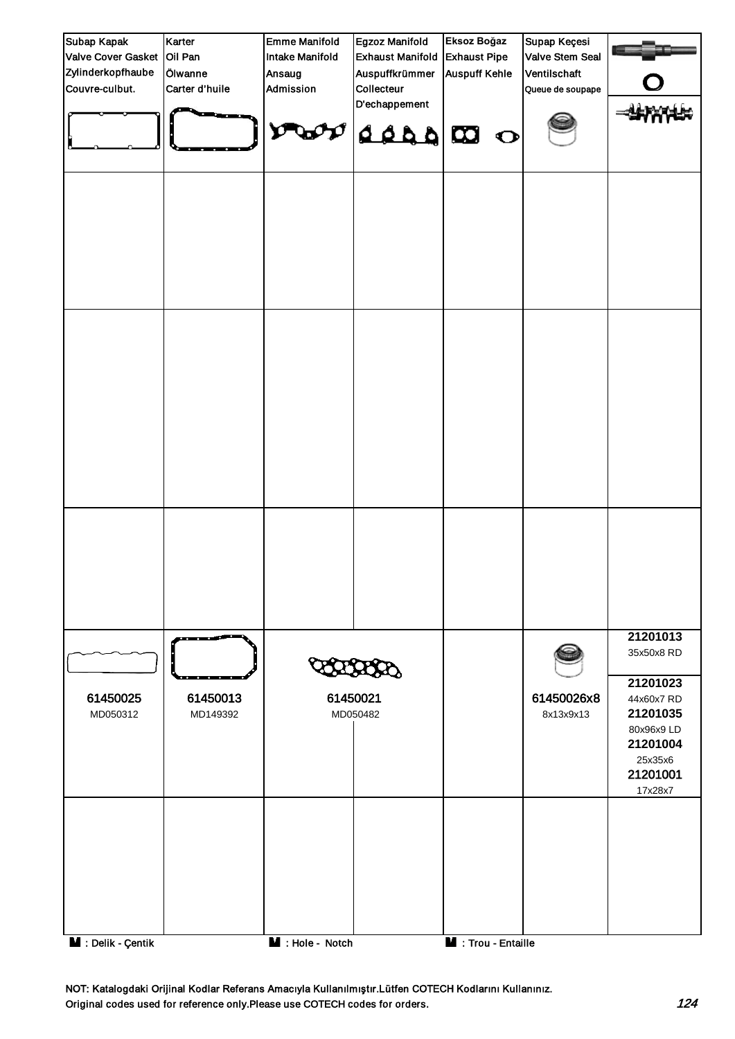

NOT: Katalogdaki Orijinal Kodlar Referans Amacıyla Kullanılmıştır.Lütfen COTECH Kodlarını Kullanınız. Original codes used for reference only.Please use COTECH codes for orders. The context of the codes for orders.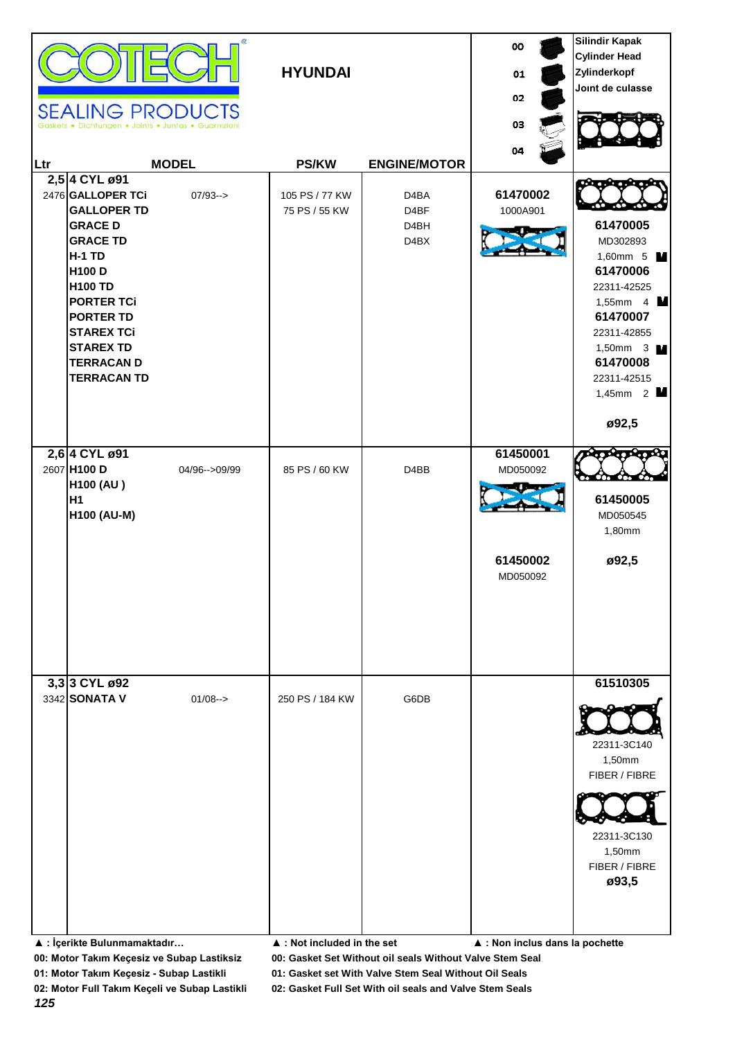| Ltr | <b>SEALING PRODUCTS</b><br>Dichtungen . Joints . Juntas . Guarnizio<br>2,5 4 CYL ø91<br>2476 GALLOPER TCi<br><b>GALLOPER TD</b><br><b>GRACE D</b><br><b>GRACE TD</b><br><b>H-1 TD</b><br>H100 D<br><b>H100 TD</b><br><b>PORTER TCi</b><br><b>PORTER TD</b><br><b>STAREX TCi</b><br><b>STAREX TD</b><br><b>TERRACAN D</b><br><b>TERRACAN TD</b> | <b>MODEL</b><br>$07/93 ->$ | <b>HYUNDAI</b><br><b>PS/KW</b><br>105 PS / 77 KW<br>75 PS / 55 KW | <b>ENGINE/MOTOR</b><br>D <sub>4</sub> BA<br>D4BF<br>D <sub>4</sub> BH<br>D <sub>4</sub> BX | oo<br>01<br>02<br>03<br>04<br>61470002<br>1000A901 | <b>Silindir Kapak</b><br><b>Cylinder Head</b><br>Zylinderkopf<br>Joint de culasse<br>61470005<br>MD302893<br>1,60mm 5 M<br>61470006<br>22311-42525<br>1,55mm 4 $\blacksquare$<br>61470007<br>22311-42855<br>1,50mm $3 \text{ M}$<br>61470008<br>22311-42515<br>1,45mm $2$ M<br>ø92,5 |
|-----|------------------------------------------------------------------------------------------------------------------------------------------------------------------------------------------------------------------------------------------------------------------------------------------------------------------------------------------------|----------------------------|-------------------------------------------------------------------|--------------------------------------------------------------------------------------------|----------------------------------------------------|--------------------------------------------------------------------------------------------------------------------------------------------------------------------------------------------------------------------------------------------------------------------------------------|
|     | 2,6 4 CYL ø91<br>2607 H100 D<br><b>H100 (AU)</b><br>H <sub>1</sub><br><b>H100 (AU-M)</b>                                                                                                                                                                                                                                                       | 04/96-->09/99              | 85 PS / 60 KW                                                     | D <sub>4</sub> B <sub>B</sub>                                                              | 61450001<br>MD050092<br>61450002<br>MD050092       | 61450005<br>MD050545<br>1,80mm<br>ø92,5                                                                                                                                                                                                                                              |
|     | 3,3 3 CYL ø92<br>3342 SONATA V<br>▲ : İçerikte Bulunmamaktadır                                                                                                                                                                                                                                                                                 | $01/08 ->$                 | 250 PS / 184 KW<br>▲ : Not included in the set                    | G6DB                                                                                       | ▲ : Non inclus dans la pochette                    | 61510305<br>22311-3C140<br>1,50mm<br>FIBER / FIBRE<br>22311-3C130<br>1,50mm<br>FIBER / FIBRE<br>ø93,5                                                                                                                                                                                |

**01: Motor Takım Keçesiz - Subap Lastikli 01: Gasket set With Valve Stem Seal Without Oil Seals**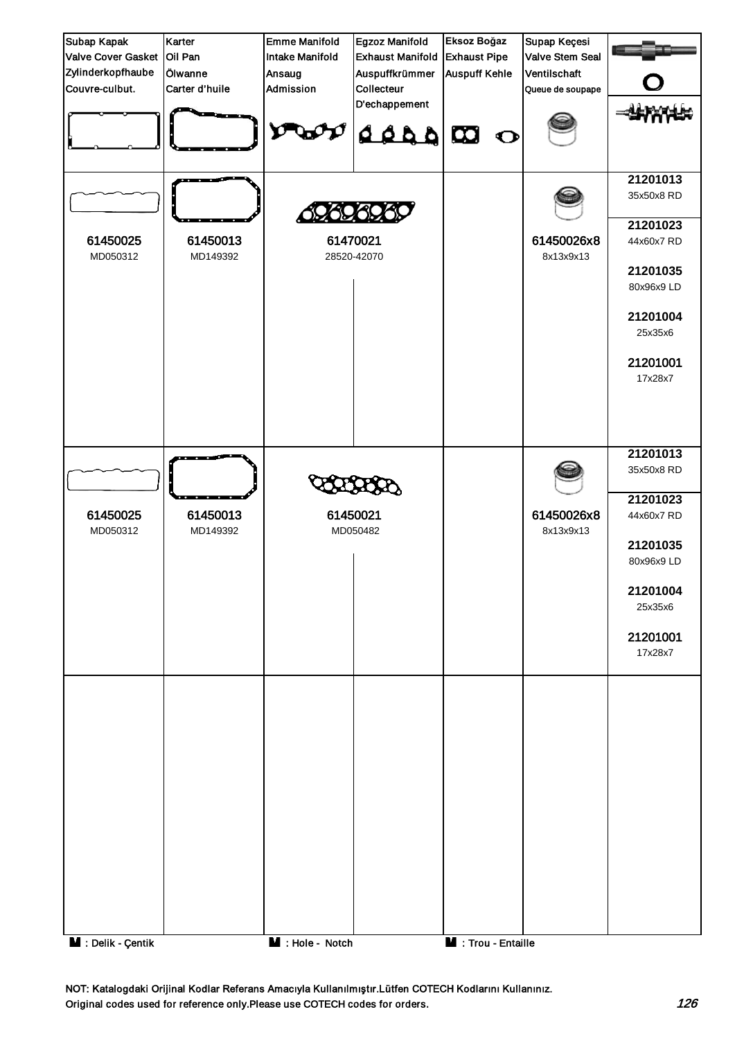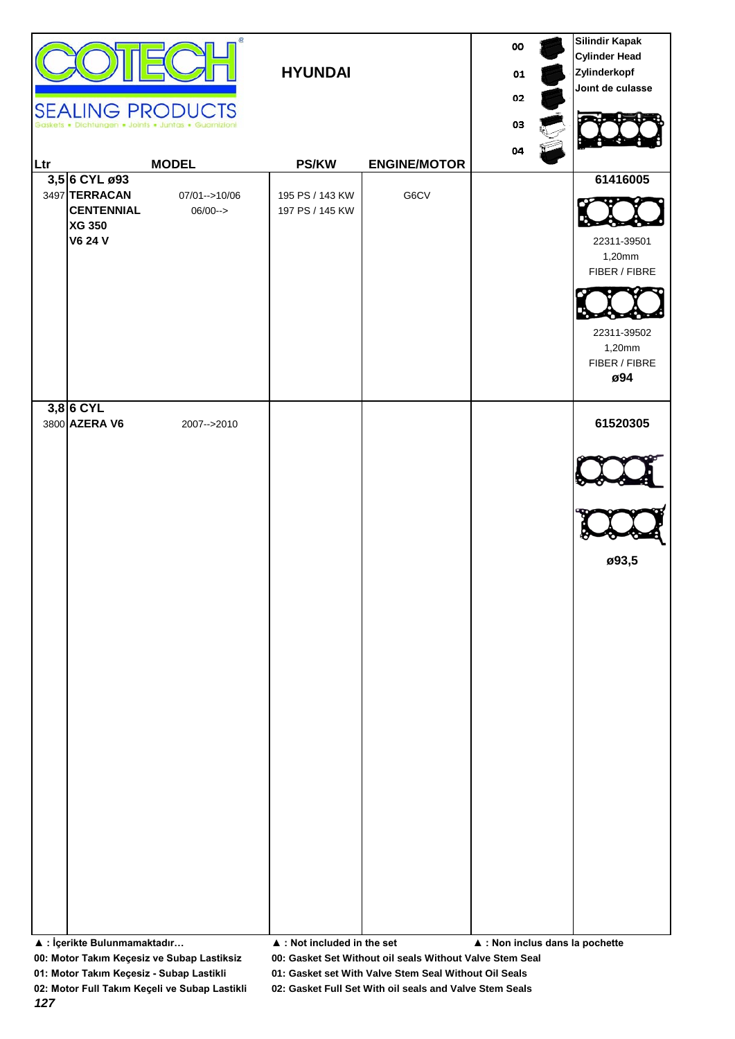| <b>SEALING PRODUCTS</b><br><u>lLtr</u><br>3,5 6 CYL ø93<br>3497 TERRACAN<br><b>CENTENNIAL</b><br><b>XG 350</b><br><b>V6 24 V</b> | œ<br>Dichtungen . Joints . Juntas . Guarnizion<br><b>MODEL</b><br>07/01-->10/06<br>$06/00--$ | <b>HYUNDAI</b><br><b>PS/KW</b><br>195 PS / 143 KW<br>197 PS / 145 KW | <b>ENGINE/MOTOR</b><br>G6CV | 00<br>01<br>02<br>03<br>04                     | <b>Silindir Kapak</b><br><b>Cylinder Head</b><br>Zylinderkopf<br>Joint de culasse<br>61416005<br>22311-39501<br>1,20mm<br>FIBER / FIBRE<br>22311-39502<br>1,20mm<br>FIBER / FIBRE<br>ø94 |
|----------------------------------------------------------------------------------------------------------------------------------|----------------------------------------------------------------------------------------------|----------------------------------------------------------------------|-----------------------------|------------------------------------------------|------------------------------------------------------------------------------------------------------------------------------------------------------------------------------------------|
| $3,8$ 6 CYL<br>3800 AZERA V6<br>▲ : İçerikte Bulunmamaktadır                                                                     | 2007-->2010                                                                                  | $\blacktriangle$ : Not included in the set                           |                             | $\blacktriangle$ : Non inclus dans la pochette | 61520305<br>ø93,5                                                                                                                                                                        |

**01: Motor Takım Keçesiz - Subap Lastikli 01: Gasket set With Valve Stem Seal Without Oil Seals**